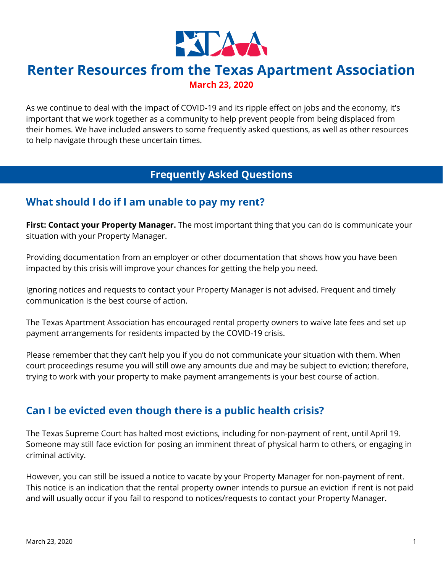

# **Renter Resources from the Texas Apartment Association March 23, 2020**

As we continue to deal with the impact of COVID-19 and its ripple effect on jobs and the economy, it's important that we work together as a community to help prevent people from being displaced from their homes. We have included answers to some frequently asked questions, as well as other resources to help navigate through these uncertain times.

## **Frequently Asked Questions**

## **What should I do if I am unable to pay my rent?**

**First: Contact your Property Manager.** The most important thing that you can do is communicate your situation with your Property Manager.

Providing documentation from an employer or other documentation that shows how you have been impacted by this crisis will improve your chances for getting the help you need.

Ignoring notices and requests to contact your Property Manager is not advised. Frequent and timely communication is the best course of action.

The Texas Apartment Association has encouraged rental property owners to waive late fees and set up payment arrangements for residents impacted by the COVID-19 crisis.

Please remember that they can't help you if you do not communicate your situation with them. When court proceedings resume you will still owe any amounts due and may be subject to eviction; therefore, trying to work with your property to make payment arrangements is your best course of action.

## **Can I be evicted even though there is a public health crisis?**

The Texas Supreme Court has halted most evictions, including for non-payment of rent, until April 19. Someone may still face eviction for posing an imminent threat of physical harm to others, or engaging in criminal activity.

However, you can still be issued a notice to vacate by your Property Manager for non-payment of rent. This notice is an indication that the rental property owner intends to pursue an eviction if rent is not paid and will usually occur if you fail to respond to notices/requests to contact your Property Manager.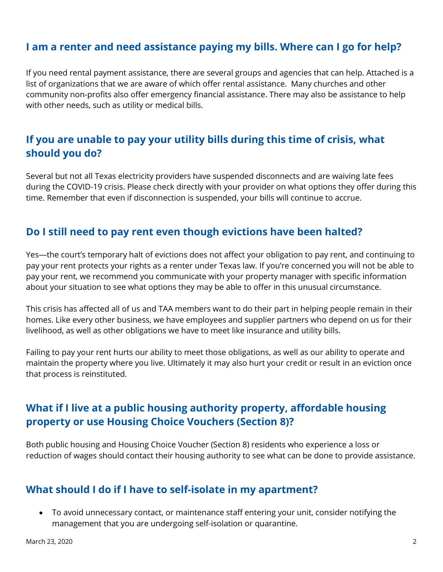## **I am a renter and need assistance paying my bills. Where can I go for help?**

If you need rental payment assistance, there are several groups and agencies that can help. Attached is a list of organizations that we are aware of which offer rental assistance. Many churches and other community non-profits also offer emergency financial assistance. There may also be assistance to help with other needs, such as utility or medical bills.

## **If you are unable to pay your utility bills during this time of crisis, what should you do?**

Several but not all Texas electricity providers have suspended disconnects and are waiving late fees during the COVID-19 crisis. Please check directly with your provider on what options they offer during this time. Remember that even if disconnection is suspended, your bills will continue to accrue.

### **Do I still need to pay rent even though evictions have been halted?**

Yes—the court's temporary halt of evictions does not affect your obligation to pay rent, and continuing to pay your rent protects your rights as a renter under Texas law. If you're concerned you will not be able to pay your rent, we recommend you communicate with your property manager with specific information about your situation to see what options they may be able to offer in this unusual circumstance.

This crisis has affected all of us and TAA members want to do their part in helping people remain in their homes. Like every other business, we have employees and supplier partners who depend on us for their livelihood, as well as other obligations we have to meet like insurance and utility bills.

Failing to pay your rent hurts our ability to meet those obligations, as well as our ability to operate and maintain the property where you live. Ultimately it may also hurt your credit or result in an eviction once that process is reinstituted.

## **What if I live at a public housing authority property, affordable housing property or use Housing Choice Vouchers (Section 8)?**

Both public housing and Housing Choice Voucher (Section 8) residents who experience a loss or reduction of wages should contact their housing authority to see what can be done to provide assistance.

### **What should I do if I have to self-isolate in my apartment?**

• To avoid unnecessary contact, or maintenance staff entering your unit, consider notifying the management that you are undergoing self-isolation or quarantine.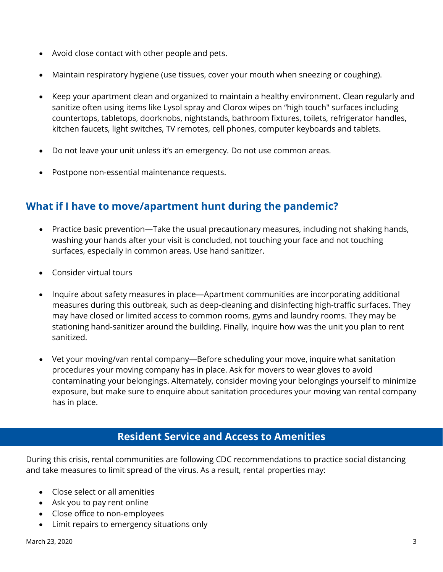- Avoid close contact with other people and pets.
- Maintain respiratory hygiene (use tissues, cover your mouth when sneezing or coughing).
- Keep your apartment clean and organized to maintain a healthy environment. Clean regularly and sanitize often using items like Lysol spray and Clorox wipes on "high touch" surfaces including countertops, tabletops, doorknobs, nightstands, bathroom fixtures, toilets, refrigerator handles, kitchen faucets, light switches, TV remotes, cell phones, computer keyboards and tablets.
- Do not leave your unit unless it's an emergency. Do not use common areas.
- Postpone non-essential maintenance requests.

## **What if I have to move/apartment hunt during the pandemic?**

- Practice basic prevention—Take the usual precautionary measures, including not shaking hands, washing your hands after your visit is concluded, not touching your face and not touching surfaces, especially in common areas. Use hand sanitizer.
- Consider virtual tours
- Inquire about safety measures in place—Apartment communities are incorporating additional measures during this outbreak, such as deep-cleaning and disinfecting high-traffic surfaces. They may have closed or limited access to common rooms, gyms and laundry rooms. They may be stationing hand-sanitizer around the building. Finally, inquire how was the unit you plan to rent sanitized.
- Vet your moving/van rental company—Before scheduling your move, inquire what sanitation procedures your moving company has in place. Ask for movers to wear gloves to avoid contaminating your belongings. Alternately, consider moving your belongings yourself to minimize exposure, but make sure to enquire about sanitation procedures your moving van rental company has in place.

### **Resident Service and Access to Amenities**

During this crisis, rental communities are following CDC recommendations to practice social distancing and take measures to limit spread of the virus. As a result, rental properties may:

- Close select or all amenities
- Ask you to pay rent online
- Close office to non-employees
- Limit repairs to emergency situations only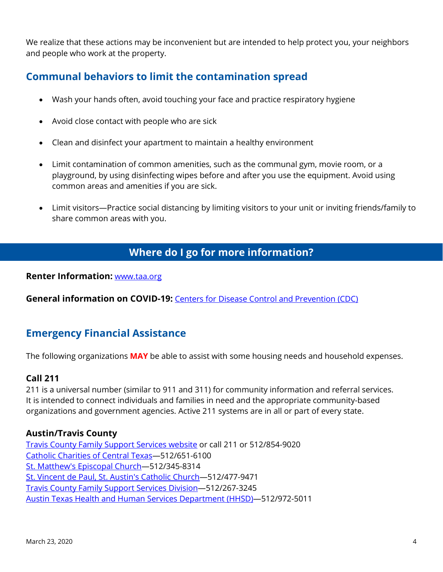We realize that these actions may be inconvenient but are intended to help protect you, your neighbors and people who work at the property.

## **Communal behaviors to limit the contamination spread**

- Wash your hands often, avoid touching your face and practice respiratory hygiene
- Avoid close contact with people who are sick
- Clean and disinfect your apartment to maintain a healthy environment
- Limit contamination of common amenities, such as the communal gym, movie room, or a playground, by using disinfecting wipes before and after you use the equipment. Avoid using common areas and amenities if you are sick.
- Limit visitors—Practice social distancing by limiting visitors to your unit or inviting friends/family to share common areas with you.

# **Where do I go for more information?**

**Renter Information:** [www.taa.org](https://www.taa.org/renters/helpful-info/)

**General information on COVID-19:** [Centers for Disease Control and Prevention \(CDC\)](http://www.cdc.gov/coronavirus/2019-ncov/index.html)

# **Emergency Financial Assistance**

The following organizations **MAY** be able to assist with some housing needs and household expenses.

### **Call 211**

211 is a universal number (similar to 911 and 311) for community information and referral services. It is intended to connect individuals and families in need and the appropriate community-based organizations and government agencies. Active 211 systems are in all or part of every state.

#### **Austin/Travis County**

[Travis County Family Support Services website](https://www.traviscountytx.gov/health-human-services/divisions/family-support-services) or call 211 or 512/854-9020 [Catholic Charities of Central Texas—](https://www.ccctx.org/)512/651-6100 [St. Matthew's Episcopal Church—](https://stmattsaustin.org/)512/345-8314 St. Vincent de [Paul, St. Austin's Catholic Church—](https://www.staustin.org/)512/477-9471 [Travis County Family Support Services Division—](https://www.traviscountytx.gov/health-human-services/divisions/family-support-services)512/267-3245 [Austin Texas Health and Human Services Department \(HHSD\)—](http://www.austintexas.gov/department/health)512/972-5011